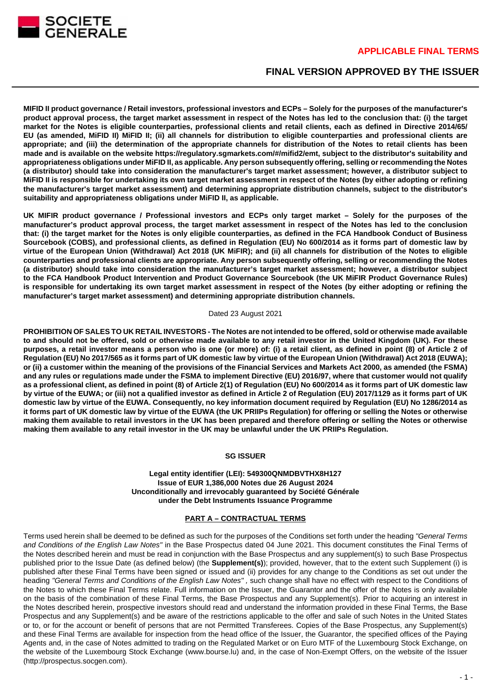

# **FINAL VERSION APPROVED BY THE ISSUER**

**MIFID II product governance / Retail investors, professional investors and ECPs – Solely for the purposes of the manufacturer's product approval process, the target market assessment in respect of the Notes has led to the conclusion that: (i) the target market for the Notes is eligible counterparties, professional clients and retail clients, each as defined in Directive 2014/65/ EU (as amended, MiFID II) MiFID II; (ii) all channels for distribution to eligible counterparties and professional clients are appropriate; and (iii) the determination of the appropriate channels for distribution of the Notes to retail clients has been made and is available on the website https://regulatory.sgmarkets.com/#/mifid2/emt, subject to the distributor's suitability and appropriateness obligations under MiFID II, as applicable. Any person subsequently offering, selling or recommending the Notes (a distributor) should take into consideration the manufacturer's target market assessment; however, a distributor subject to MiFID II is responsible for undertaking its own target market assessment in respect of the Notes (by either adopting or refining the manufacturer's target market assessment) and determining appropriate distribution channels, subject to the distributor's suitability and appropriateness obligations under MiFID II, as applicable.**

**UK MIFIR product governance / Professional investors and ECPs only target market – Solely for the purposes of the manufacturer's product approval process, the target market assessment in respect of the Notes has led to the conclusion that: (i) the target market for the Notes is only eligible counterparties, as defined in the FCA Handbook Conduct of Business Sourcebook (COBS), and professional clients, as defined in Regulation (EU) No 600/2014 as it forms part of domestic law by virtue of the European Union (Withdrawal) Act 2018 (UK MiFIR); and (ii) all channels for distribution of the Notes to eligible counterparties and professional clients are appropriate. Any person subsequently offering, selling or recommending the Notes (a distributor) should take into consideration the manufacturer's target market assessment; however, a distributor subject to the FCA Handbook Product Intervention and Product Governance Sourcebook (the UK MiFIR Product Governance Rules) is responsible for undertaking its own target market assessment in respect of the Notes (by either adopting or refining the manufacturer's target market assessment) and determining appropriate distribution channels.**

#### Dated 23 August 2021

**PROHIBITION OF SALES TO UK RETAIL INVESTORS - The Notes are not intended to be offered, sold or otherwise made available to and should not be offered, sold or otherwise made available to any retail investor in the United Kingdom (UK). For these purposes, a retail investor means a person who is one (or more) of: (i) a retail client, as defined in point (8) of Article 2 of Regulation (EU) No 2017/565 as it forms part of UK domestic law by virtue of the European Union (Withdrawal) Act 2018 (EUWA); or (ii) a customer within the meaning of the provisions of the Financial Services and Markets Act 2000, as amended (the FSMA) and any rules or regulations made under the FSMA to implement Directive (EU) 2016/97, where that customer would not qualify as a professional client, as defined in point (8) of Article 2(1) of Regulation (EU) No 600/2014 as it forms part of UK domestic law by virtue of the EUWA; or (iii) not a qualified investor as defined in Article 2 of Regulation (EU) 2017/1129 as it forms part of UK domestic law by virtue of the EUWA. Consequently, no key information document required by Regulation (EU) No 1286/2014 as it forms part of UK domestic law by virtue of the EUWA (the UK PRIIPs Regulation) for offering or selling the Notes or otherwise making them available to retail investors in the UK has been prepared and therefore offering or selling the Notes or otherwise making them available to any retail investor in the UK may be unlawful under the UK PRIIPs Regulation.**

#### **SG ISSUER**

#### **Legal entity identifier (LEI): 549300QNMDBVTHX8H127 Issue of EUR 1,386,000 Notes due 26 August 2024 Unconditionally and irrevocably guaranteed by Société Générale under the Debt Instruments Issuance Programme**

#### **PART A – CONTRACTUAL TERMS**

Terms used herein shall be deemed to be defined as such for the purposes of the Conditions set forth under the heading "General Terms and Conditions of the English Law Notes" in the Base Prospectus dated 04 June 2021. This document constitutes the Final Terms of the Notes described herein and must be read in conjunction with the Base Prospectus and any supplement(s) to such Base Prospectus published prior to the Issue Date (as defined below) (the **Supplement(s)**); provided, however, that to the extent such Supplement (i) is published after these Final Terms have been signed or issued and (ii) provides for any change to the Conditions as set out under the heading "General Terms and Conditions of the English Law Notes", such change shall have no effect with respect to the Conditions of the Notes to which these Final Terms relate. Full information on the Issuer, the Guarantor and the offer of the Notes is only available on the basis of the combination of these Final Terms, the Base Prospectus and any Supplement(s). Prior to acquiring an interest in the Notes described herein, prospective investors should read and understand the information provided in these Final Terms, the Base Prospectus and any Supplement(s) and be aware of the restrictions applicable to the offer and sale of such Notes in the United States or to, or for the account or benefit of persons that are not Permitted Transferees. Copies of the Base Prospectus, any Supplement(s) and these Final Terms are available for inspection from the head office of the Issuer, the Guarantor, the specified offices of the Paying Agents and, in the case of Notes admitted to trading on the Regulated Market or on Euro MTF of the Luxembourg Stock Exchange, on the website of the Luxembourg Stock Exchange (www.bourse.lu) and, in the case of Non-Exempt Offers, on the website of the Issuer (http://prospectus.socgen.com).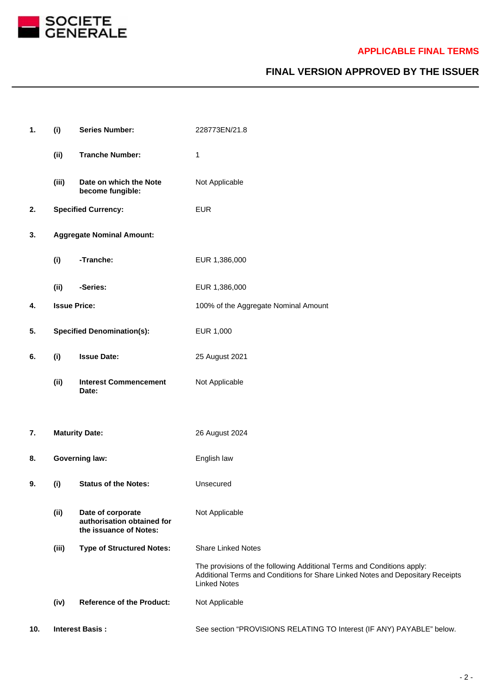

# **FINAL VERSION APPROVED BY THE ISSUER**

| 1.  | (i)                               | <b>Series Number:</b>                                                     | 228773EN/21.8                                                                                                                                                                   |
|-----|-----------------------------------|---------------------------------------------------------------------------|---------------------------------------------------------------------------------------------------------------------------------------------------------------------------------|
|     | (ii)                              | <b>Tranche Number:</b>                                                    | 1                                                                                                                                                                               |
|     | (iii)                             | Date on which the Note<br>become fungible:                                | Not Applicable                                                                                                                                                                  |
| 2.  | <b>Specified Currency:</b>        |                                                                           | <b>EUR</b>                                                                                                                                                                      |
| 3.  | <b>Aggregate Nominal Amount:</b>  |                                                                           |                                                                                                                                                                                 |
|     | (i)                               | -Tranche:                                                                 | EUR 1,386,000                                                                                                                                                                   |
|     | (ii)                              | -Series:                                                                  | EUR 1,386,000                                                                                                                                                                   |
| 4.  | <b>Issue Price:</b>               |                                                                           | 100% of the Aggregate Nominal Amount                                                                                                                                            |
| 5.  | <b>Specified Denomination(s):</b> |                                                                           | EUR 1,000                                                                                                                                                                       |
| 6.  | (i)                               | <b>Issue Date:</b>                                                        | 25 August 2021                                                                                                                                                                  |
|     | (ii)                              | <b>Interest Commencement</b><br>Date:                                     | Not Applicable                                                                                                                                                                  |
| 7.  |                                   | <b>Maturity Date:</b>                                                     | 26 August 2024                                                                                                                                                                  |
| 8.  | <b>Governing law:</b>             |                                                                           | English law                                                                                                                                                                     |
| 9.  | (i)                               | <b>Status of the Notes:</b>                                               | Unsecured                                                                                                                                                                       |
|     | (ii)                              | Date of corporate<br>authorisation obtained for<br>the issuance of Notes: | Not Applicable                                                                                                                                                                  |
|     | (iii)                             | <b>Type of Structured Notes:</b>                                          | <b>Share Linked Notes</b>                                                                                                                                                       |
|     |                                   |                                                                           | The provisions of the following Additional Terms and Conditions apply:<br>Additional Terms and Conditions for Share Linked Notes and Depositary Receipts<br><b>Linked Notes</b> |
|     | (iv)                              | <b>Reference of the Product:</b>                                          | Not Applicable                                                                                                                                                                  |
| 10. | <b>Interest Basis:</b>            |                                                                           | See section "PROVISIONS RELATING TO Interest (IF ANY) PAYABLE" below.                                                                                                           |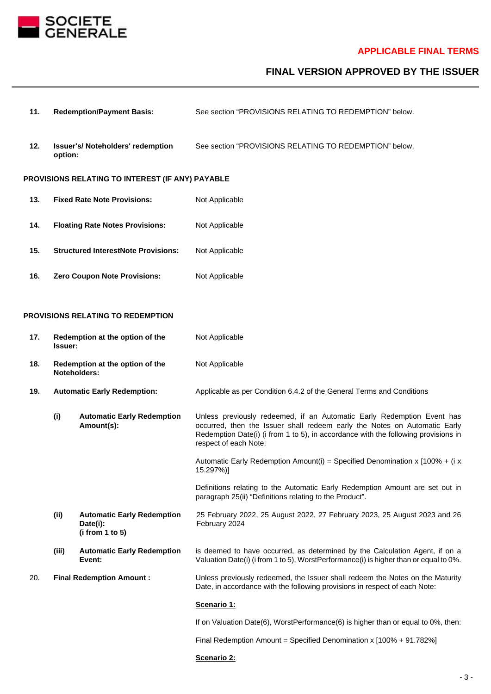

# **FINAL VERSION APPROVED BY THE ISSUER**

- **11. Redemption/Payment Basis:** See section "PROVISIONS RELATING TO REDEMPTION" below.
- **12. Issuer's/ Noteholders' redemption option:** See section "PROVISIONS RELATING TO REDEMPTION" below.

#### **PROVISIONS RELATING TO INTEREST (IF ANY) PAYABLE**

- 13. **Fixed Rate Note Provisions:** Not Applicable
- 14. **Floating Rate Notes Provisions:** Not Applicable
- **15. Structured InterestNote Provisions:** Not Applicable
- 16. **Zero Coupon Note Provisions:** Not Applicable

#### **PROVISIONS RELATING TO REDEMPTION**

- **17. Redemption at the option of the Issuer:** Not Applicable **18. Redemption at the option of the Noteholders:** Not Applicable 19. **Automatic Early Redemption:** Applicable as per Condition 6.4.2 of the General Terms and Conditions **(i) Automatic Early Redemption Amount(s):** Unless previously redeemed, if an Automatic Early Redemption Event has occurred, then the Issuer shall redeem early the Notes on Automatic Early Redemption Date(i) (i from 1 to 5), in accordance with the following provisions in respect of each Note: Automatic Early Redemption Amount(i) = Specified Denomination x [100% + (i x 15.297%)] Definitions relating to the Automatic Early Redemption Amount are set out in paragraph 25(ii) "Definitions relating to the Product". **(ii) Automatic Early Redemption Date(i): (i from 1 to 5)** 25 February 2022, 25 August 2022, 27 February 2023, 25 August 2023 and 26 February 2024 **(iii) Automatic Early Redemption Event:** is deemed to have occurred, as determined by the Calculation Agent, if on a Valuation Date(i) (i from 1 to 5), WorstPerformance(i) is higher than or equal to 0%. 20. **Final Redemption Amount :** Unless previously redeemed, the Issuer shall redeem the Notes on the Maturity Date, in accordance with the following provisions in respect of each Note: **Scenario 1:** If on Valuation Date(6), WorstPerformance(6) is higher than or equal to 0%, then:
	- Final Redemption Amount = Specified Denomination x [100% + 91.782%]

#### **Scenario 2:**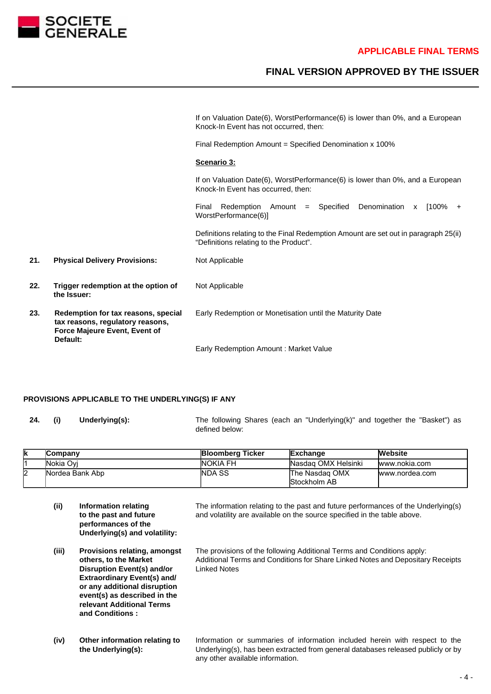

# **FINAL VERSION APPROVED BY THE ISSUER**

|     |                                                                                                                      | If on Valuation Date(6), WorstPerformance(6) is lower than 0%, and a European<br>Knock-In Event has not occurred, then:       |
|-----|----------------------------------------------------------------------------------------------------------------------|-------------------------------------------------------------------------------------------------------------------------------|
|     |                                                                                                                      | Final Redemption Amount = Specified Denomination x 100%                                                                       |
|     |                                                                                                                      | Scenario 3:                                                                                                                   |
|     |                                                                                                                      | If on Valuation Date(6), WorstPerformance(6) is lower than 0%, and a European<br>Knock-In Event has occurred, then:           |
|     |                                                                                                                      | Denomination x [100% +<br>Redemption Amount = Specified<br>Final<br>WorstPerformance(6)]                                      |
|     |                                                                                                                      | Definitions relating to the Final Redemption Amount are set out in paragraph 25(ii)<br>"Definitions relating to the Product". |
| 21. | <b>Physical Delivery Provisions:</b>                                                                                 | Not Applicable                                                                                                                |
| 22. | Trigger redemption at the option of<br>the Issuer:                                                                   | Not Applicable                                                                                                                |
| 23. | Redemption for tax reasons, special<br>tax reasons, regulatory reasons,<br>Force Majeure Event, Event of<br>Default: | Early Redemption or Monetisation until the Maturity Date                                                                      |

Early Redemption Amount : Market Value

#### **PROVISIONS APPLICABLE TO THE UNDERLYING(S) IF ANY**

**24. (i) Underlying(s):** The following Shares (each an "Underlying(k)" and together the "Basket") as defined below:

| lκ | <b>Company</b>  | <b>Bloomberg Ticker</b> | Exchange                       | <b>Website</b> |
|----|-----------------|-------------------------|--------------------------------|----------------|
|    | lNokia Ovi      | <b>NOKIA FH</b>         | Nasdag OMX Helsinki            | www.nokia.com  |
| I2 | Nordea Bank Abp | <b>INDA SS</b>          | The Nasdag OMX<br>Stockholm AB | www.nordea.com |

- **(ii) Information relating to the past and future performances of the Underlying(s) and volatility:**
- **(iii) Provisions relating, amongst others, to the Market Disruption Event(s) and/or Extraordinary Event(s) and/ or any additional disruption event(s) as described in the relevant Additional Terms and Conditions :**
- **(iv) Other information relating to the Underlying(s):**

The information relating to the past and future performances of the Underlying(s) and volatility are available on the source specified in the table above.

The provisions of the following Additional Terms and Conditions apply: Additional Terms and Conditions for Share Linked Notes and Depositary Receipts Linked Notes

Information or summaries of information included herein with respect to the Underlying(s), has been extracted from general databases released publicly or by any other available information.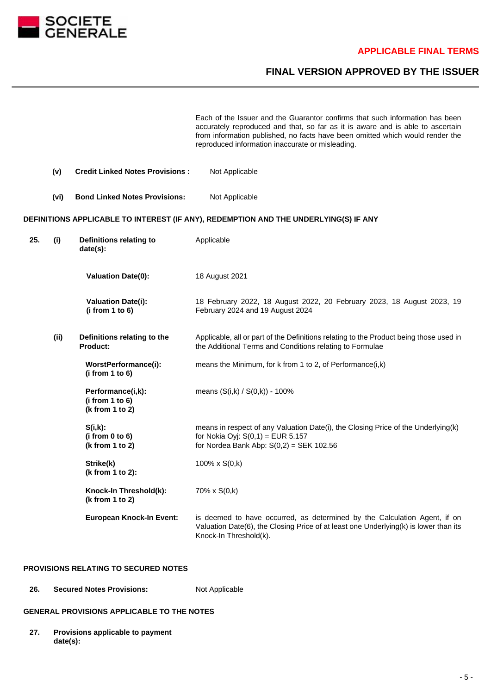

# **FINAL VERSION APPROVED BY THE ISSUER**

Each of the Issuer and the Guarantor confirms that such information has been accurately reproduced and that, so far as it is aware and is able to ascertain from information published, no facts have been omitted which would render the reproduced information inaccurate or misleading.

|     | (v)  | <b>Credit Linked Notes Provisions:</b>                  | Not Applicable                                                                                                                                                                              |
|-----|------|---------------------------------------------------------|---------------------------------------------------------------------------------------------------------------------------------------------------------------------------------------------|
|     | (vi) | <b>Bond Linked Notes Provisions:</b>                    | Not Applicable                                                                                                                                                                              |
|     |      |                                                         | DEFINITIONS APPLICABLE TO INTEREST (IF ANY), REDEMPTION AND THE UNDERLYING(S) IF ANY                                                                                                        |
| 25. | (i)  | Definitions relating to<br>date(s):                     | Applicable                                                                                                                                                                                  |
|     |      | <b>Valuation Date(0):</b>                               | 18 August 2021                                                                                                                                                                              |
|     |      | <b>Valuation Date(i):</b><br>(i from 1 to 6)            | 18 February 2022, 18 August 2022, 20 February 2023, 18 August 2023, 19<br>February 2024 and 19 August 2024                                                                                  |
|     | (ii) | Definitions relating to the<br>Product:                 | Applicable, all or part of the Definitions relating to the Product being those used in<br>the Additional Terms and Conditions relating to Formulae                                          |
|     |      | WorstPerformance(i):<br>(i from 1 to 6)                 | means the Minimum, for k from 1 to 2, of Performance(i,k)                                                                                                                                   |
|     |      | Performance(i,k):<br>(i from 1 to 6)<br>(k from 1 to 2) | means $(S(i,k) / S(0,k)) - 100\%$                                                                                                                                                           |
|     |      | $S(i,k)$ :<br>(i from 0 to 6)<br>(k from 1 to 2)        | means in respect of any Valuation Date(i), the Closing Price of the Underlying(k)<br>for Nokia Oyj: $S(0,1) = EUR 5.157$<br>for Nordea Bank Abp: $S(0,2) = SEK$ 102.56                      |
|     |      | Strike(k)<br>(k from 1 to 2):                           | 100% x S(0,k)                                                                                                                                                                               |
|     |      | Knock-In Threshold(k):<br>(k from 1 to 2)               | 70% x S(0,k)                                                                                                                                                                                |
|     |      | <b>European Knock-In Event:</b>                         | is deemed to have occurred, as determined by the Calculation Agent, if on<br>Valuation Date(6), the Closing Price of at least one Underlying(k) is lower than its<br>Knock-In Threshold(k). |

### **PROVISIONS RELATING TO SECURED NOTES**

26. **Secured Notes Provisions:** Not Applicable

## **GENERAL PROVISIONS APPLICABLE TO THE NOTES**

**27. Provisions applicable to payment date(s):**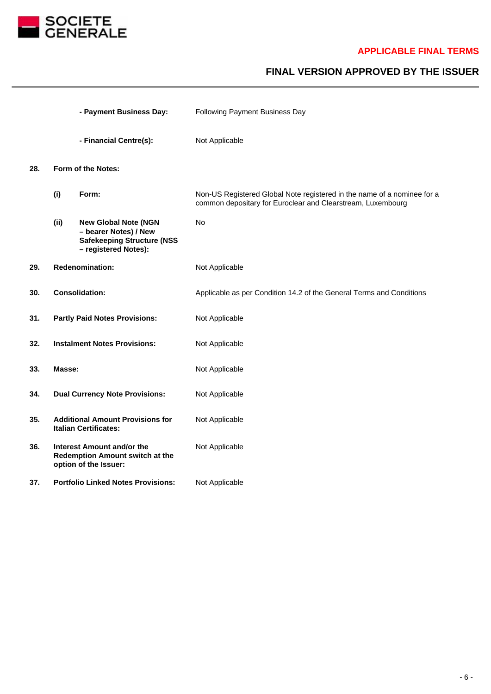

# **FINAL VERSION APPROVED BY THE ISSUER**

|     |                                       | - Payment Business Day:                                                                                           | Following Payment Business Day                                                                                                         |
|-----|---------------------------------------|-------------------------------------------------------------------------------------------------------------------|----------------------------------------------------------------------------------------------------------------------------------------|
|     |                                       | - Financial Centre(s):                                                                                            | Not Applicable                                                                                                                         |
| 28. | Form of the Notes:                    |                                                                                                                   |                                                                                                                                        |
|     | (i)                                   | Form:                                                                                                             | Non-US Registered Global Note registered in the name of a nominee for a<br>common depositary for Euroclear and Clearstream, Luxembourg |
|     | (ii)                                  | <b>New Global Note (NGN</b><br>- bearer Notes) / New<br><b>Safekeeping Structure (NSS</b><br>- registered Notes): | <b>No</b>                                                                                                                              |
| 29. |                                       | <b>Redenomination:</b>                                                                                            | Not Applicable                                                                                                                         |
| 30. | <b>Consolidation:</b>                 |                                                                                                                   | Applicable as per Condition 14.2 of the General Terms and Conditions                                                                   |
| 31. |                                       | <b>Partly Paid Notes Provisions:</b>                                                                              | Not Applicable                                                                                                                         |
| 32. | <b>Instalment Notes Provisions:</b>   |                                                                                                                   | Not Applicable                                                                                                                         |
| 33. | Masse:                                |                                                                                                                   | Not Applicable                                                                                                                         |
| 34. | <b>Dual Currency Note Provisions:</b> |                                                                                                                   | Not Applicable                                                                                                                         |
| 35. |                                       | <b>Additional Amount Provisions for</b><br><b>Italian Certificates:</b>                                           | Not Applicable                                                                                                                         |
| 36. |                                       | <b>Interest Amount and/or the</b><br>Redemption Amount switch at the<br>option of the Issuer:                     | Not Applicable                                                                                                                         |
| 37. |                                       | <b>Portfolio Linked Notes Provisions:</b>                                                                         | Not Applicable                                                                                                                         |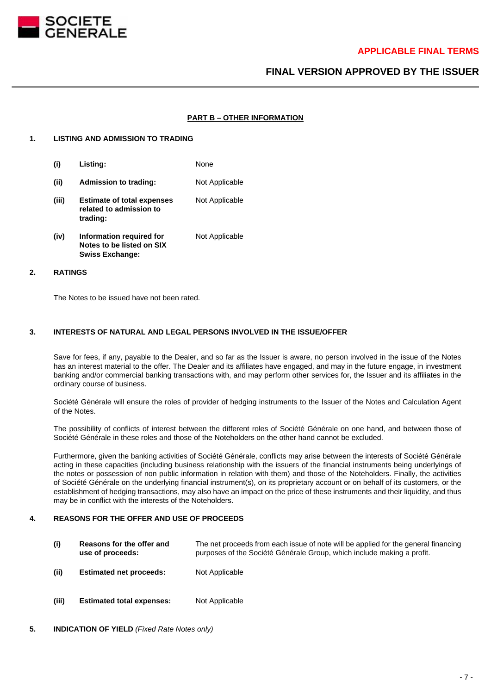

# **FINAL VERSION APPROVED BY THE ISSUER**

#### **PART B – OTHER INFORMATION**

#### **1. LISTING AND ADMISSION TO TRADING**

- **(i) Listing:** None **(ii) Admission to trading:** Not Applicable **(iii) Estimate of total expenses related to admission to trading:** Not Applicable **(iv) Information required for** Not Applicable
- **Notes to be listed on SIX Swiss Exchange:**

#### **2. RATINGS**

The Notes to be issued have not been rated.

#### **3. INTERESTS OF NATURAL AND LEGAL PERSONS INVOLVED IN THE ISSUE/OFFER**

Save for fees, if any, payable to the Dealer, and so far as the Issuer is aware, no person involved in the issue of the Notes has an interest material to the offer. The Dealer and its affiliates have engaged, and may in the future engage, in investment banking and/or commercial banking transactions with, and may perform other services for, the Issuer and its affiliates in the ordinary course of business.

Société Générale will ensure the roles of provider of hedging instruments to the Issuer of the Notes and Calculation Agent of the Notes.

The possibility of conflicts of interest between the different roles of Société Générale on one hand, and between those of Société Générale in these roles and those of the Noteholders on the other hand cannot be excluded.

Furthermore, given the banking activities of Société Générale, conflicts may arise between the interests of Société Générale acting in these capacities (including business relationship with the issuers of the financial instruments being underlyings of the notes or possession of non public information in relation with them) and those of the Noteholders. Finally, the activities of Société Générale on the underlying financial instrument(s), on its proprietary account or on behalf of its customers, or the establishment of hedging transactions, may also have an impact on the price of these instruments and their liquidity, and thus may be in conflict with the interests of the Noteholders.

#### **4. REASONS FOR THE OFFER AND USE OF PROCEEDS**

- **(i) Reasons for the offer and use of proceeds:** The net proceeds from each issue of note will be applied for the general financing purposes of the Société Générale Group, which include making a profit.
- **(ii) Estimated net proceeds:** Not Applicable
- **(iii) Estimated total expenses:** Not Applicable
- **5. INDICATION OF YIELD** (Fixed Rate Notes only)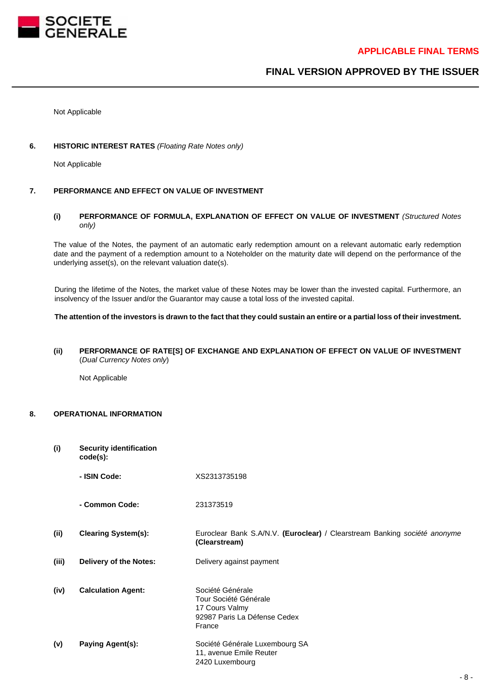

# **FINAL VERSION APPROVED BY THE ISSUER**

Not Applicable

#### **6. HISTORIC INTEREST RATES** (Floating Rate Notes only)

Not Applicable

#### **7. PERFORMANCE AND EFFECT ON VALUE OF INVESTMENT**

### **(i) PERFORMANCE OF FORMULA, EXPLANATION OF EFFECT ON VALUE OF INVESTMENT** (Structured Notes only)

The value of the Notes, the payment of an automatic early redemption amount on a relevant automatic early redemption date and the payment of a redemption amount to a Noteholder on the maturity date will depend on the performance of the underlying asset(s), on the relevant valuation date(s).

During the lifetime of the Notes, the market value of these Notes may be lower than the invested capital. Furthermore, an insolvency of the Issuer and/or the Guarantor may cause a total loss of the invested capital.

#### **The attention of the investors is drawn to the fact that they could sustain an entire or a partial loss of their investment.**

### **(ii) PERFORMANCE OF RATE[S] OF EXCHANGE AND EXPLANATION OF EFFECT ON VALUE OF INVESTMENT** (Dual Currency Notes only)

Not Applicable

### **8. OPERATIONAL INFORMATION**

| (i)   | <b>Security identification</b><br>$code(s)$ : |                                                                                                       |  |
|-------|-----------------------------------------------|-------------------------------------------------------------------------------------------------------|--|
|       | - ISIN Code:                                  | XS2313735198                                                                                          |  |
|       | - Common Code:                                | 231373519                                                                                             |  |
| (ii)  | <b>Clearing System(s):</b>                    | Euroclear Bank S.A/N.V. (Euroclear) / Clearstream Banking société anonyme<br>(Clearstream)            |  |
| (iii) | <b>Delivery of the Notes:</b>                 | Delivery against payment                                                                              |  |
| (iv)  | <b>Calculation Agent:</b>                     | Société Générale<br>Tour Société Générale<br>17 Cours Valmy<br>92987 Paris La Défense Cedex<br>France |  |
| (v)   | Paying Agent(s):                              | Société Générale Luxembourg SA<br>11, avenue Emile Reuter<br>2420 Luxembourg                          |  |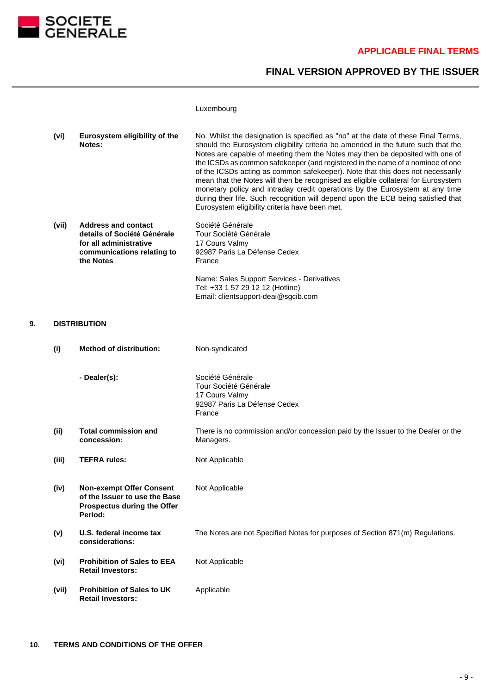

# **FINAL VERSION APPROVED BY THE ISSUER**

#### Luxembourg

| (vi) | Eurosystem eligibility of the<br>Notes: | No. Whilst the designation is specified as "no" at the date of these Final Terms,<br>should the Eurosystem eligibility criteria be amended in the future such that the<br>Notes are capable of meeting them the Notes may then be deposited with one of<br>the ICSDs as common safekeeper (and registered in the name of a nominee of one<br>of the ICSDs acting as common safekeeper). Note that this does not necessarily<br>mean that the Notes will then be recognised as eligible collateral for Eurosystem<br>monetary policy and intraday credit operations by the Eurosystem at any time<br>during their life. Such recognition will depend upon the ECB being satisfied that |
|------|-----------------------------------------|---------------------------------------------------------------------------------------------------------------------------------------------------------------------------------------------------------------------------------------------------------------------------------------------------------------------------------------------------------------------------------------------------------------------------------------------------------------------------------------------------------------------------------------------------------------------------------------------------------------------------------------------------------------------------------------|
|      |                                         | Eurosystem eligibility criteria have been met.                                                                                                                                                                                                                                                                                                                                                                                                                                                                                                                                                                                                                                        |

Tel: +33 1 57 29 12 12 (Hotline) Email: clientsupport-deai@sgcib.com

| (vii) | <b>Address and contact</b>  | Société Générale                           |
|-------|-----------------------------|--------------------------------------------|
|       | details of Société Générale | Tour Société Générale                      |
|       | for all administrative      | 17 Cours Valmy                             |
|       | communications relating to  | 92987 Paris La Défense Cedex               |
|       | the Notes                   | France                                     |
|       |                             | Name: Sales Support Services - Derivatives |

**9. DISTRIBUTION**

**(i) Method of distribution:** Non-syndicated **- Dealer(s):** Société Générale Tour Société Générale 17 Cours Valmy 92987 Paris La Défense Cedex France **(ii) Total commission and concession:** There is no commission and/or concession paid by the Issuer to the Dealer or the Managers. **(iii) TEFRA rules:** Not Applicable **(iv) Non-exempt Offer Consent of the Issuer to use the Base Prospectus during the Offer Period:** Not Applicable **(v) U.S. federal income tax considerations:** The Notes are not Specified Notes for purposes of Section 871(m) Regulations. **(vi) Prohibition of Sales to EEA Retail Investors:** Not Applicable **(vii) Prohibition of Sales to UK Retail Investors:** Applicable